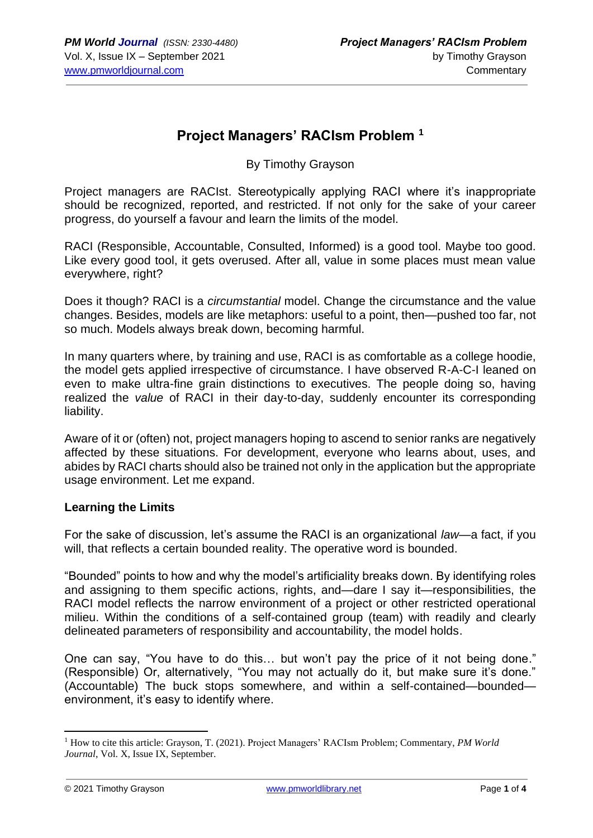### **Project Managers' RACIsm Problem <sup>1</sup>**

By Timothy Grayson

Project managers are RACIst. Stereotypically applying RACI where it's inappropriate should be recognized, reported, and restricted. If not only for the sake of your career progress, do yourself a favour and learn the limits of the model.

RACI (Responsible, Accountable, Consulted, Informed) is a good tool. Maybe too good. Like every good tool, it gets overused. After all, value in some places must mean value everywhere, right?

Does it though? RACI is a *circumstantial* model. Change the circumstance and the value changes. Besides, models are like metaphors: useful to a point, then—pushed too far, not so much. Models always break down, becoming harmful.

In many quarters where, by training and use, RACI is as comfortable as a college hoodie, the model gets applied irrespective of circumstance. I have observed R-A-C-I leaned on even to make ultra-fine grain distinctions to executives. The people doing so, having realized the *value* of RACI in their day-to-day, suddenly encounter its corresponding liability.

Aware of it or (often) not, project managers hoping to ascend to senior ranks are negatively affected by these situations. For development, everyone who learns about, uses, and abides by RACI charts should also be trained not only in the application but the appropriate usage environment. Let me expand.

#### **Learning the Limits**

For the sake of discussion, let's assume the RACI is an organizational *law*—a fact, if you will, that reflects a certain bounded reality. The operative word is bounded.

"Bounded" points to how and why the model's artificiality breaks down. By identifying roles and assigning to them specific actions, rights, and—dare I say it—responsibilities, the RACI model reflects the narrow environment of a project or other restricted operational milieu. Within the conditions of a self-contained group (team) with readily and clearly delineated parameters of responsibility and accountability, the model holds.

One can say, "You have to do this… but won't pay the price of it not being done." (Responsible) Or, alternatively, "You may not actually do it, but make sure it's done." (Accountable) The buck stops somewhere, and within a self-contained—bounded environment, it's easy to identify where.

<sup>&</sup>lt;sup>1</sup> How to cite this article: Grayson, T. (2021). Project Managers' RACIsm Problem; Commentary, *PM World Journal*, Vol. X, Issue IX, September.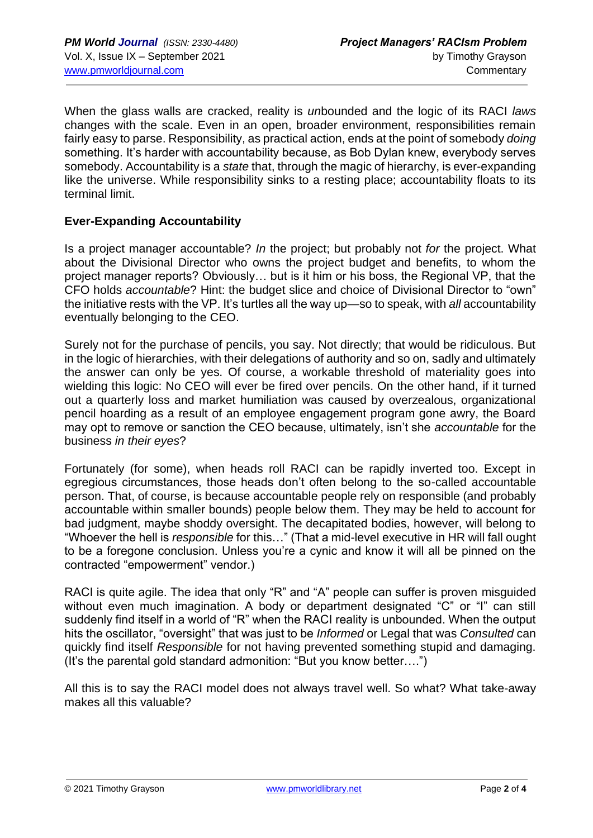When the glass walls are cracked, reality is *un*bounded and the logic of its RACI *laws* changes with the scale. Even in an open, broader environment, responsibilities remain fairly easy to parse. Responsibility, as practical action, ends at the point of somebody *doing* something. It's harder with accountability because, as Bob Dylan knew, everybody serves somebody. Accountability is a *state* that, through the magic of hierarchy, is ever-expanding like the universe. While responsibility sinks to a resting place; accountability floats to its terminal limit.

### **Ever-Expanding Accountability**

Is a project manager accountable? *In* the project; but probably not *for* the project. What about the Divisional Director who owns the project budget and benefits, to whom the project manager reports? Obviously… but is it him or his boss, the Regional VP, that the CFO holds *accountable*? Hint: the budget slice and choice of Divisional Director to "own" the initiative rests with the VP. It's turtles all the way up—so to speak, with *all* accountability eventually belonging to the CEO.

Surely not for the purchase of pencils, you say. Not directly; that would be ridiculous. But in the logic of hierarchies, with their delegations of authority and so on, sadly and ultimately the answer can only be yes. Of course, a workable threshold of materiality goes into wielding this logic: No CEO will ever be fired over pencils. On the other hand, if it turned out a quarterly loss and market humiliation was caused by overzealous, organizational pencil hoarding as a result of an employee engagement program gone awry, the Board may opt to remove or sanction the CEO because, ultimately, isn't she *accountable* for the business *in their eyes*?

Fortunately (for some), when heads roll RACI can be rapidly inverted too. Except in egregious circumstances, those heads don't often belong to the so-called accountable person. That, of course, is because accountable people rely on responsible (and probably accountable within smaller bounds) people below them. They may be held to account for bad judgment, maybe shoddy oversight. The decapitated bodies, however, will belong to "Whoever the hell is *responsible* for this…" (That a mid-level executive in HR will fall ought to be a foregone conclusion. Unless you're a cynic and know it will all be pinned on the contracted "empowerment" vendor.)

RACI is quite agile. The idea that only "R" and "A" people can suffer is proven misguided without even much imagination. A body or department designated "C" or "I" can still suddenly find itself in a world of "R" when the RACI reality is unbounded. When the output hits the oscillator, "oversight" that was just to be *Informed* or Legal that was *Consulted* can quickly find itself *Responsible* for not having prevented something stupid and damaging. (It's the parental gold standard admonition: "But you know better….")

All this is to say the RACI model does not always travel well. So what? What take-away makes all this valuable?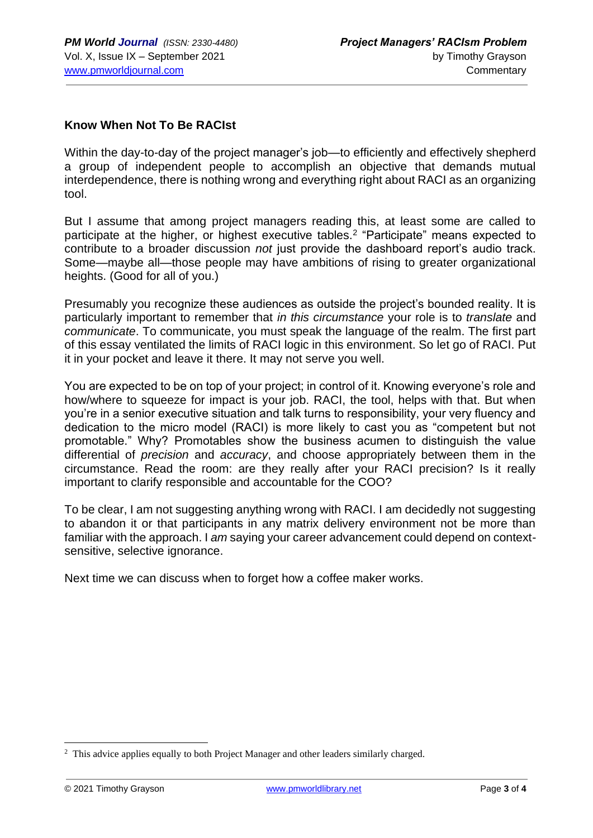### **Know When Not To Be RACIst**

Within the day-to-day of the project manager's job—to efficiently and effectively shepherd a group of independent people to accomplish an objective that demands mutual interdependence, there is nothing wrong and everything right about RACI as an organizing tool.

But I assume that among project managers reading this, at least some are called to participate at the higher, or highest executive tables.<sup>2</sup> "Participate" means expected to contribute to a broader discussion *not* just provide the dashboard report's audio track. Some—maybe all—those people may have ambitions of rising to greater organizational heights. (Good for all of you.)

Presumably you recognize these audiences as outside the project's bounded reality. It is particularly important to remember that *in this circumstance* your role is to *translate* and *communicate*. To communicate, you must speak the language of the realm. The first part of this essay ventilated the limits of RACI logic in this environment. So let go of RACI. Put it in your pocket and leave it there. It may not serve you well.

You are expected to be on top of your project; in control of it. Knowing everyone's role and how/where to squeeze for impact is your job. RACI, the tool, helps with that. But when you're in a senior executive situation and talk turns to responsibility, your very fluency and dedication to the micro model (RACI) is more likely to cast you as "competent but not promotable." Why? Promotables show the business acumen to distinguish the value differential of *precision* and *accuracy*, and choose appropriately between them in the circumstance. Read the room: are they really after your RACI precision? Is it really important to clarify responsible and accountable for the COO?

To be clear, I am not suggesting anything wrong with RACI. I am decidedly not suggesting to abandon it or that participants in any matrix delivery environment not be more than familiar with the approach. I *am* saying your career advancement could depend on contextsensitive, selective ignorance.

Next time we can discuss when to forget how a coffee maker works.

<sup>&</sup>lt;sup>2</sup> This advice applies equally to both Project Manager and other leaders similarly charged.